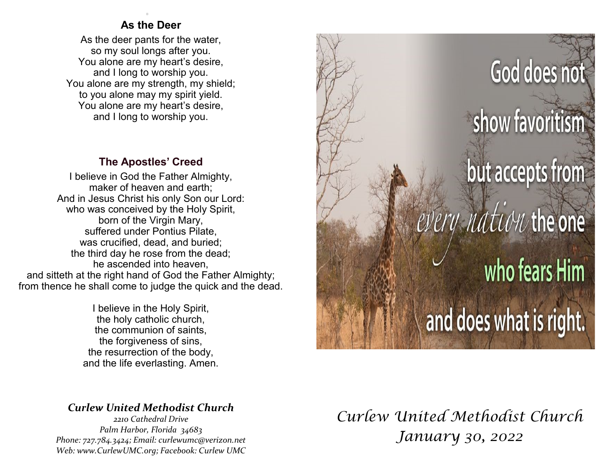# . **As the Deer**

As the deer pants for the water, so my soul longs after you. You alone are my heart's desire, and I long to worship you. You alone are my strength, my shield; to you alone may my spirit yield. You alone are my heart's desire, and I long to worship you.

## **The Apostles' Creed**

I believe in God the Father Almighty, maker of heaven and earth; And in Jesus Christ his only Son our Lord: who was conceived by the Holy Spirit, born of the Virgin Mary, suffered under Pontius Pilate, was crucified, dead, and buried; the third day he rose from the dead; he ascended into heaven, and sitteth at the right hand of God the Father Almighty; from thence he shall come to judge the quick and the dead.

> I believe in the Holy Spirit, the holy catholic church, the communion of saints, the forgiveness of sins, the resurrection of the body, and the life everlasting. Amen.



### *Curlew United Methodist Church*

*2210 Cathedral Drive Palm Harbor, Florida 34683 Phone: 727.784.3424; Email: curlewumc@verizon.net Web: www.CurlewUMC.org; Facebook: Curlew UMC* *Curlew United Methodist Church January 30, 2022*